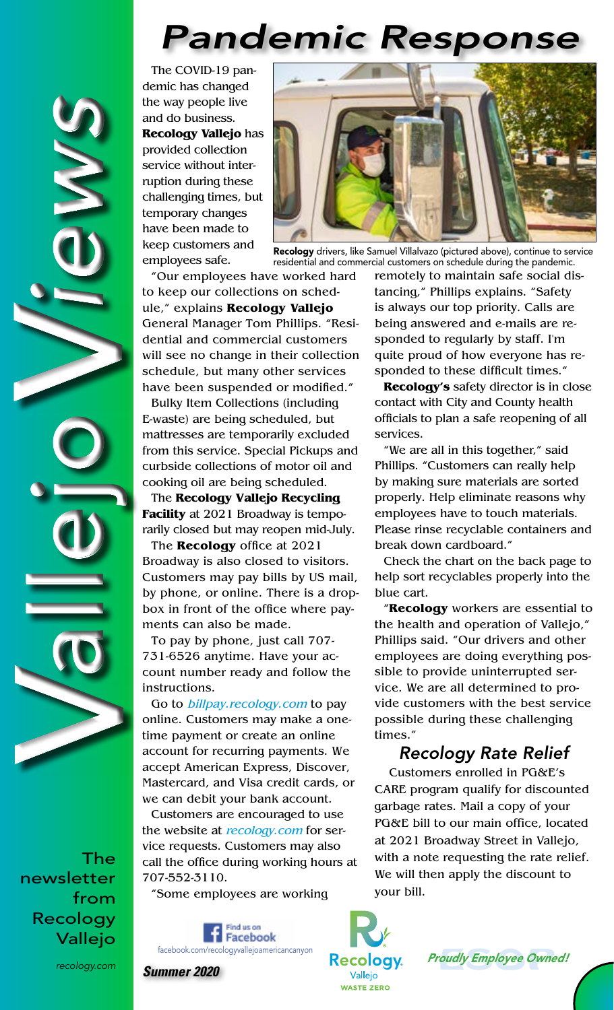# *Pandemic Response*

The COVID-19 pandemic has changed the way people live and do business. **Recology Vallejo** has provided collection service without interruption during these challenging times, but temporary changes have been made to keep customers and employees safe.



Recology drivers, like Samuel Villalvazo (pictured above), continue to service residential and commercial customers on schedule during the pandemic.

"Our employees have worked hard to keep our collections on schedule," explains **Recology Vallejo** General Manager Tom Phillips. "Residential and commercial customers will see no change in their collection schedule, but many other services have been suspended or modified."

Bulky Item Collections (including E-waste) are being scheduled, but mattresses are temporarily excluded from this service. Special Pickups and curbside collections of motor oil and cooking oil are being scheduled.

The **Recology Vallejo Recycling Facility** at 2021 Broadway is temporarily closed but may reopen mid-July.

The **Recology** office at 2021 Broadway is also closed to visitors. Customers may pay bills by US mail, by phone, or online. There is a dropbox in front of the office where payments can also be made.

To pay by phone, just call 707- 731-6526 anytime. Have your account number ready and follow the instructions.

Go to *billpay.recology.com* to pay online. Customers may make a onetime payment or create an online account for recurring payments. We accept American Express, Discover, Mastercard, and Visa credit cards, or we can debit your bank account.

Customers are encouraged to use the website at recology.com for service requests. Customers may also call the office during working hours at 707-552-3110.

"Some employees are working



remotely to maintain safe social distancing," Phillips explains. "Safety is always our top priority. Calls are being answered and e-mails are responded to regularly by staff. I'm quite proud of how everyone has responded to these difficult times."

**Recology's** safety director is in close contact with City and County health officials to plan a safe reopening of all services.

"We are all in this together," said Phillips. "Customers can really help by making sure materials are sorted properly. Help eliminate reasons why employees have to touch materials. Please rinse recyclable containers and break down cardboard."

Check the chart on the back page to help sort recyclables properly into the blue cart.

"**Recology** workers are essential to the health and operation of Vallejo," Phillips said. "Our drivers and other employees are doing everything possible to provide uninterrupted service. We are all determined to provide customers with the best service possible during these challenging times."

#### *Recology Rate Relief*

Customers enrolled in PG&E's CARE program qualify for discounted garbage rates. Mail a copy of your PG&E bill to our main office, located at 2021 Broadway Street in Vallejo, with a note requesting the rate relief. We will then apply the discount to your bill.



The newsletter from Recology Vallejo

V

V

allejo *iews*